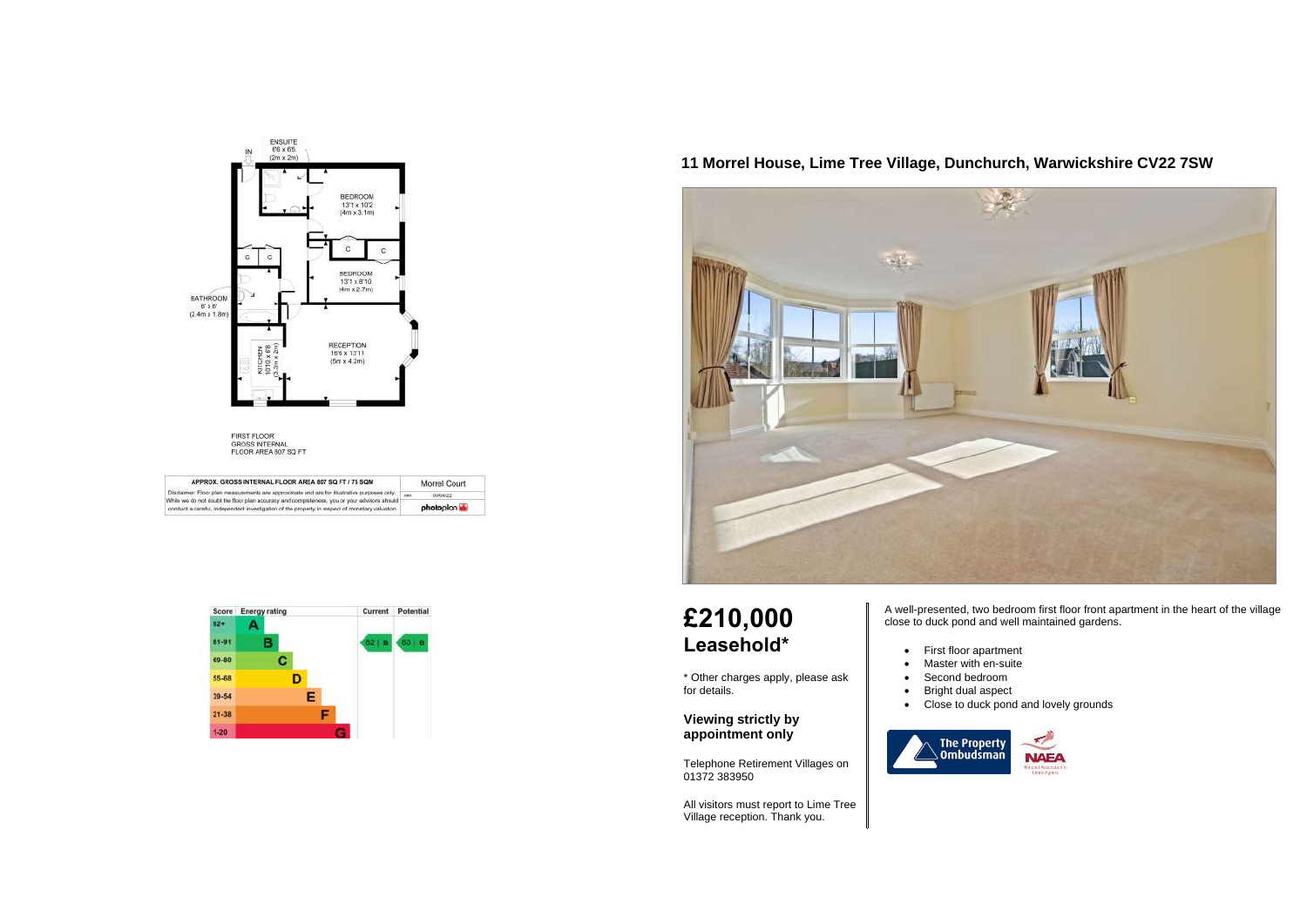

FIRST FLOOR<br>GROSS INTERNAL<br>FLOOR AREA 807 SQ FT

| APPROX. GROSS INTERNAL FLOOR AREA 807 SQ FT / 75 SQM                                                                                                                                         | Morrel Court |              |  |
|----------------------------------------------------------------------------------------------------------------------------------------------------------------------------------------------|--------------|--------------|--|
| Disclaimer: Floor plan measurements are approximate and are for libstrative purposes only.   use                                                                                             |              | 04/04/22     |  |
| While we do not doubt the floor plan acouracy and completeness, you or your advisors should<br>conduct a careful, independent investigation of the property in respect of monetary valuation |              | photopion di |  |



## **11 Morrel House, Lime Tree Village, Dunchurch, Warwickshire CV22 7SW**



## **£210,000 Leasehold\***

\* Other charges apply, please ask for details.

#### **Viewing strictly by appointment only**

Telephone Retirement Villages on 01372 383950

All visitors must report to Lime Tree Village reception. Thank you.

A well-presented, two bedroom first floor front apartment in the heart of the village close to duck pond and well maintained gardens.

- First floor apartment
- Master with en-suite
- Second bedroom
	- Bright dual aspect
	-



- 
- 
- 
- 
- Close to duck pond and lovely grounds